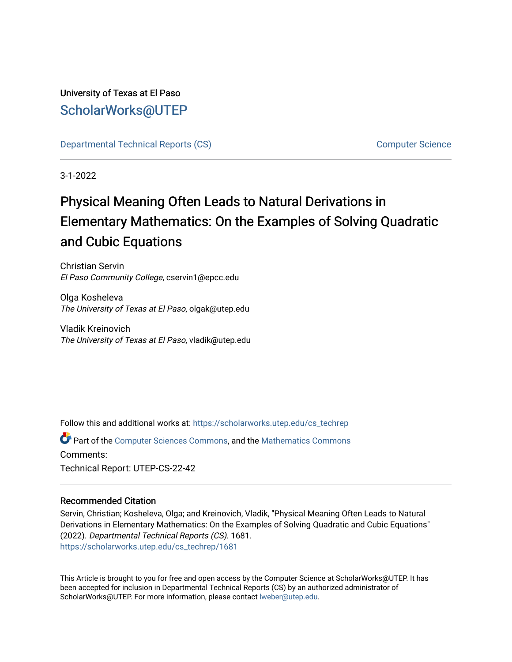University of Texas at El Paso [ScholarWorks@UTEP](https://scholarworks.utep.edu/)

[Departmental Technical Reports \(CS\)](https://scholarworks.utep.edu/cs_techrep) [Computer Science](https://scholarworks.utep.edu/computer) 

3-1-2022

# Physical Meaning Often Leads to Natural Derivations in Elementary Mathematics: On the Examples of Solving Quadratic and Cubic Equations

Christian Servin El Paso Community College, cservin1@epcc.edu

Olga Kosheleva The University of Texas at El Paso, olgak@utep.edu

Vladik Kreinovich The University of Texas at El Paso, vladik@utep.edu

Follow this and additional works at: [https://scholarworks.utep.edu/cs\\_techrep](https://scholarworks.utep.edu/cs_techrep?utm_source=scholarworks.utep.edu%2Fcs_techrep%2F1681&utm_medium=PDF&utm_campaign=PDFCoverPages) 

Part of the [Computer Sciences Commons](http://network.bepress.com/hgg/discipline/142?utm_source=scholarworks.utep.edu%2Fcs_techrep%2F1681&utm_medium=PDF&utm_campaign=PDFCoverPages), and the [Mathematics Commons](http://network.bepress.com/hgg/discipline/174?utm_source=scholarworks.utep.edu%2Fcs_techrep%2F1681&utm_medium=PDF&utm_campaign=PDFCoverPages)  Comments: Technical Report: UTEP-CS-22-42

# Recommended Citation

Servin, Christian; Kosheleva, Olga; and Kreinovich, Vladik, "Physical Meaning Often Leads to Natural Derivations in Elementary Mathematics: On the Examples of Solving Quadratic and Cubic Equations" (2022). Departmental Technical Reports (CS). 1681. [https://scholarworks.utep.edu/cs\\_techrep/1681](https://scholarworks.utep.edu/cs_techrep/1681?utm_source=scholarworks.utep.edu%2Fcs_techrep%2F1681&utm_medium=PDF&utm_campaign=PDFCoverPages) 

This Article is brought to you for free and open access by the Computer Science at ScholarWorks@UTEP. It has been accepted for inclusion in Departmental Technical Reports (CS) by an authorized administrator of ScholarWorks@UTEP. For more information, please contact [lweber@utep.edu](mailto:lweber@utep.edu).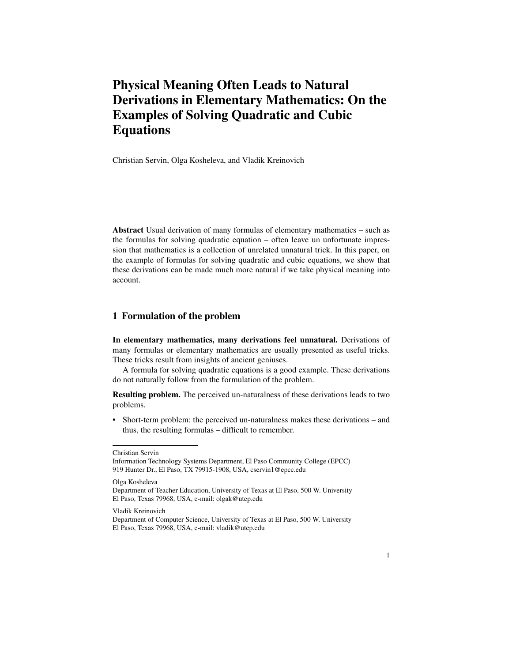# Physical Meaning Often Leads to Natural Derivations in Elementary Mathematics: On the Examples of Solving Quadratic and Cubic Equations

Christian Servin, Olga Kosheleva, and Vladik Kreinovich

Abstract Usual derivation of many formulas of elementary mathematics – such as the formulas for solving quadratic equation – often leave un unfortunate impression that mathematics is a collection of unrelated unnatural trick. In this paper, on the example of formulas for solving quadratic and cubic equations, we show that these derivations can be made much more natural if we take physical meaning into account.

#### 1 Formulation of the problem

In elementary mathematics, many derivations feel unnatural. Derivations of many formulas or elementary mathematics are usually presented as useful tricks. These tricks result from insights of ancient geniuses.

A formula for solving quadratic equations is a good example. These derivations do not naturally follow from the formulation of the problem.

Resulting problem. The perceived un-naturalness of these derivations leads to two problems.

• Short-term problem: the perceived un-naturalness makes these derivations – and thus, the resulting formulas – difficult to remember.

Olga Kosheleva

Christian Servin

Information Technology Systems Department, El Paso Community College (EPCC) 919 Hunter Dr., El Paso, TX 79915-1908, USA, cservin1@epcc.edu

Department of Teacher Education, University of Texas at El Paso, 500 W. University El Paso, Texas 79968, USA, e-mail: olgak@utep.edu

Vladik Kreinovich

Department of Computer Science, University of Texas at El Paso, 500 W. University El Paso, Texas 79968, USA, e-mail: vladik@utep.edu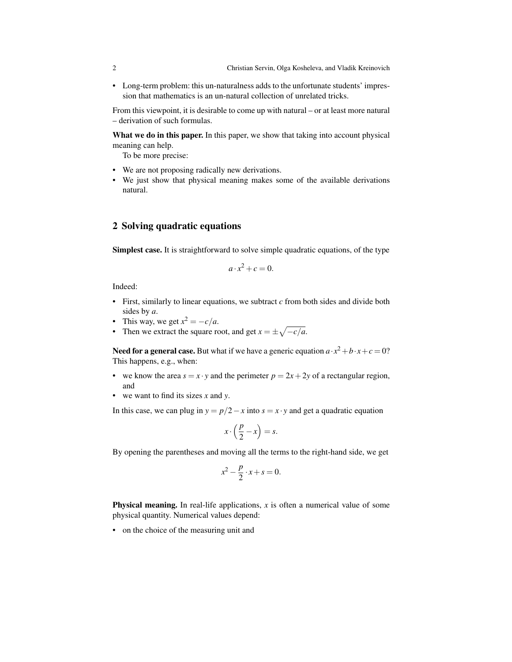• Long-term problem: this un-naturalness adds to the unfortunate students' impression that mathematics is an un-natural collection of unrelated tricks.

From this viewpoint, it is desirable to come up with natural – or at least more natural – derivation of such formulas.

What we do in this paper. In this paper, we show that taking into account physical meaning can help.

To be more precise:

- We are not proposing radically new derivations.
- We just show that physical meaning makes some of the available derivations natural.

# 2 Solving quadratic equations

Simplest case. It is straightforward to solve simple quadratic equations, of the type

$$
a \cdot x^2 + c = 0.
$$

Indeed:

- First, similarly to linear equations, we subtract *c* from both sides and divide both sides by *a*.
- This way, we get  $x^2 = -c/a$ .
- Then we extract the square root, and get  $x = \pm \sqrt{-c/a}$ .

Need for a general case. But what if we have a generic equation  $a \cdot x^2 + b \cdot x + c = 0$ ? This happens, e.g., when:

- we know the area  $s = x \cdot y$  and the perimeter  $p = 2x + 2y$  of a rectangular region, and
- we want to find its sizes *x* and *y*.

In this case, we can plug in  $y = p/2 - x$  into  $s = x \cdot y$  and get a quadratic equation

$$
x \cdot \left(\frac{p}{2} - x\right) = s.
$$

By opening the parentheses and moving all the terms to the right-hand side, we get

$$
x^2 - \frac{p}{2} \cdot x + s = 0.
$$

**Physical meaning.** In real-life applications,  $x$  is often a numerical value of some physical quantity. Numerical values depend:

• on the choice of the measuring unit and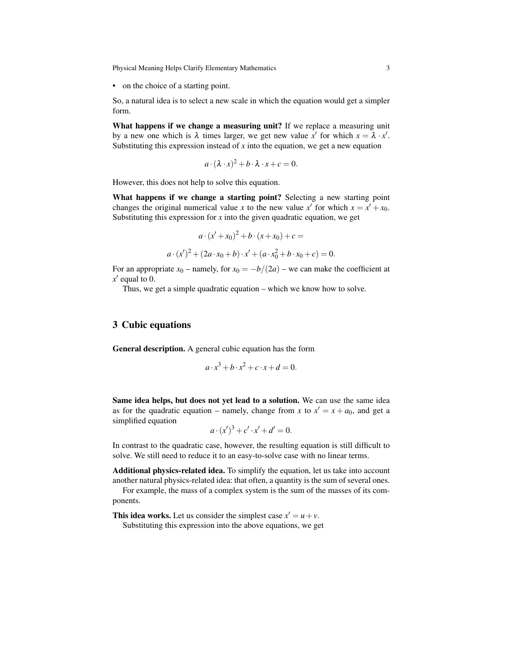Physical Meaning Helps Clarify Elementary Mathematics 3

• on the choice of a starting point.

So, a natural idea is to select a new scale in which the equation would get a simpler form.

What happens if we change a measuring unit? If we replace a measuring unit by a new one which is  $\lambda$  times larger, we get new value  $x'$  for which  $x = \lambda \cdot x'$ . Substituting this expression instead of  $x$  into the equation, we get a new equation

$$
a \cdot (\lambda \cdot x)^2 + b \cdot \lambda \cdot x + c = 0.
$$

However, this does not help to solve this equation.

What happens if we change a starting point? Selecting a new starting point changes the original numerical value *x* to the new value *x*<sup>*'*</sup> for which  $x = x' + x_0$ . Substituting this expression for  $x$  into the given quadratic equation, we get

$$
a \cdot (x' + x_0)^2 + b \cdot (x + x_0) + c =
$$

$$
\cdot (x')^2 + (2a \cdot x_0 + b) \cdot x' + (a \cdot x_0^2 + b \cdot x_0 + c) = 0.
$$

For an appropriate  $x_0$  – namely, for  $x_0 = -b/(2a)$  – we can make the coefficient at  $x'$  equal to 0.

Thus, we get a simple quadratic equation – which we know how to solve.

#### 3 Cubic equations

*a* ·(*x*

General description. A general cubic equation has the form

$$
a \cdot x^3 + b \cdot x^2 + c \cdot x + d = 0.
$$

Same idea helps, but does not yet lead to a solution. We can use the same idea as for the quadratic equation – namely, change from *x* to  $x' = x + a_0$ , and get a simplified equation

$$
a \cdot (x')^{3} + c' \cdot x' + d' = 0.
$$

In contrast to the quadratic case, however, the resulting equation is still difficult to solve. We still need to reduce it to an easy-to-solve case with no linear terms.

Additional physics-related idea. To simplify the equation, let us take into account another natural physics-related idea: that often, a quantity is the sum of several ones.

For example, the mass of a complex system is the sum of the masses of its components.

This idea works. Let us consider the simplest case  $x' = u + v$ .

Substituting this expression into the above equations, we get